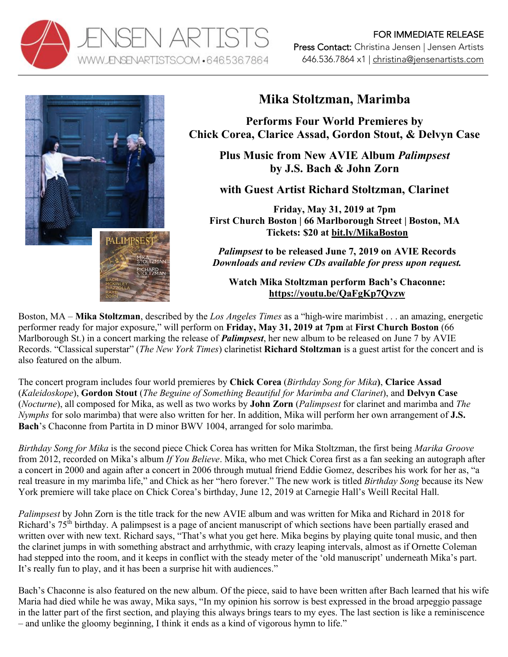



## **Mika Stoltzman, Marimba**

**Performs Four World Premieres by Chick Corea, Clarice Assad, Gordon Stout, & Delvyn Case**

> **Plus Music from New AVIE Album** *Palimpsest* **by J.S. Bach & John Zorn**

> **with Guest Artist Richard Stoltzman, Clarinet**

**Friday, May 31, 2019 at 7pm First Church Boston | 66 Marlborough Street | Boston, MA Tickets: \$20 at bit.ly/MikaBoston**

*Palimpsest* **to be released June 7, 2019 on AVIE Records** *Downloads and review CDs available for press upon request.*

**Watch Mika Stoltzman perform Bach's Chaconne: https://youtu.be/QaFgKp7Qvzw**

Boston, MA – **Mika Stoltzman**, described by the *Los Angeles Times* as a "high-wire marimbist . . . an amazing, energetic performer ready for major exposure," will perform on **Friday, May 31, 2019 at 7pm** at **First Church Boston** (66 Marlborough St.) in a concert marking the release of *Palimpsest*, her new album to be released on June 7 by AVIE Records. "Classical superstar" (*The New York Times*) clarinetist **Richard Stoltzman** is a guest artist for the concert and is also featured on the album.

The concert program includes four world premieres by **Chick Corea** (*Birthday Song for Mika***)**, **Clarice Assad** (*Kaleidoskope*), **Gordon Stout** (*The Beguine of Something Beautiful for Marimba and Clarinet*), and **Delvyn Case** (*Nocturne*), all composed for Mika, as well as two works by **John Zorn** (*Palimpsest* for clarinet and marimba and *The Nymphs* for solo marimba) that were also written for her. In addition, Mika will perform her own arrangement of **J.S. Bach**'s Chaconne from Partita in D minor BWV 1004, arranged for solo marimba.

*Birthday Song for Mika* is the second piece Chick Corea has written for Mika Stoltzman, the first being *Marika Groove* from 2012, recorded on Mika's album *If You Believe*. Mika, who met Chick Corea first as a fan seeking an autograph after a concert in 2000 and again after a concert in 2006 through mutual friend Eddie Gomez, describes his work for her as, "a real treasure in my marimba life," and Chick as her "hero forever." The new work is titled *Birthday Song* because its New York premiere will take place on Chick Corea's birthday, June 12, 2019 at Carnegie Hall's Weill Recital Hall.

*Palimpsest* by John Zorn is the title track for the new AVIE album and was written for Mika and Richard in 2018 for Richard's 75<sup>th</sup> birthday. A palimpsest is a page of ancient manuscript of which sections have been partially erased and written over with new text. Richard says, "That's what you get here. Mika begins by playing quite tonal music, and then the clarinet jumps in with something abstract and arrhythmic, with crazy leaping intervals, almost as if Ornette Coleman had stepped into the room, and it keeps in conflict with the steady meter of the 'old manuscript' underneath Mika's part. It's really fun to play, and it has been a surprise hit with audiences."

Bach's Chaconne is also featured on the new album. Of the piece, said to have been written after Bach learned that his wife Maria had died while he was away, Mika says, "In my opinion his sorrow is best expressed in the broad arpeggio passage in the latter part of the first section, and playing this always brings tears to my eyes. The last section is like a reminiscence – and unlike the gloomy beginning, I think it ends as a kind of vigorous hymn to life."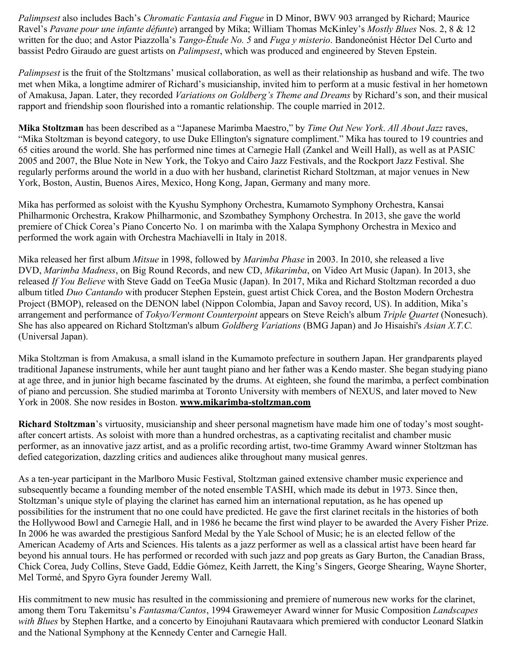*Palimpsest* also includes Bach's *Chromatic Fantasia and Fugue* in D Minor, BWV 903 arranged by Richard; Maurice Ravel's *Pavane pour une infante défunte*) arranged by Mika; William Thomas McKinley's *Mostly Blues* Nos. 2, 8 & 12 written for the duo; and Astor Piazzolla's *Tango-Étude No. 5* and *Fuga y misterio*. Bandoneónist Héctor Del Curto and bassist Pedro Giraudo are guest artists on *Palimpsest*, which was produced and engineered by Steven Epstein.

*Palimpsest* is the fruit of the Stoltzmans' musical collaboration, as well as their relationship as husband and wife. The two met when Mika, a longtime admirer of Richard's musicianship, invited him to perform at a music festival in her hometown of Amakusa, Japan. Later, they recorded *Variations on Goldberg's Theme and Dreams* by Richard's son, and their musical rapport and friendship soon flourished into a romantic relationship. The couple married in 2012.

**Mika Stoltzman** has been described as a "Japanese Marimba Maestro," by *Time Out New York*. *All About Jazz* raves, "Mika Stoltzman is beyond category, to use Duke Ellington's signature compliment." Mika has toured to 19 countries and 65 cities around the world. She has performed nine times at Carnegie Hall (Zankel and Weill Hall), as well as at PASIC 2005 and 2007, the Blue Note in New York, the Tokyo and Cairo Jazz Festivals, and the Rockport Jazz Festival. She regularly performs around the world in a duo with her husband, clarinetist Richard Stoltzman, at major venues in New York, Boston, Austin, Buenos Aires, Mexico, Hong Kong, Japan, Germany and many more.

Mika has performed as soloist with the Kyushu Symphony Orchestra, Kumamoto Symphony Orchestra, Kansai Philharmonic Orchestra, Krakow Philharmonic, and Szombathey Symphony Orchestra. In 2013, she gave the world premiere of Chick Corea's Piano Concerto No. 1 on marimba with the Xalapa Symphony Orchestra in Mexico and performed the work again with Orchestra Machiavelli in Italy in 2018.

Mika released her first album *Mitsue* in 1998, followed by *Marimba Phase* in 2003. In 2010, she released a live DVD, *Marimba Madness*, on Big Round Records, and new CD, *Mikarimba*, on Video Art Music (Japan). In 2013, she released *If You Believe* with Steve Gadd on TeeGa Music (Japan). In 2017, Mika and Richard Stoltzman recorded a duo album titled *Duo Cantando* with producer Stephen Epstein, guest artist Chick Corea, and the Boston Modern Orchestra Project (BMOP), released on the DENON label (Nippon Colombia, Japan and Savoy record, US). In addition, Mika's arrangement and performance of *Tokyo/Vermont Counterpoint* appears on Steve Reich's album *Triple Quartet* (Nonesuch). She has also appeared on Richard Stoltzman's album *Goldberg Variations* (BMG Japan) and Jo Hisaishi's *Asian X.T.C.* (Universal Japan).

Mika Stoltzman is from Amakusa, a small island in the Kumamoto prefecture in southern Japan. Her grandparents played traditional Japanese instruments, while her aunt taught piano and her father was a Kendo master. She began studying piano at age three, and in junior high became fascinated by the drums. At eighteen, she found the marimba, a perfect combination of piano and percussion. She studied marimba at Toronto University with members of NEXUS, and later moved to New York in 2008. She now resides in Boston. **www.mikarimba-stoltzman.com**

**Richard Stoltzman**'s virtuosity, musicianship and sheer personal magnetism have made him one of today's most soughtafter concert artists. As soloist with more than a hundred orchestras, as a captivating recitalist and chamber music performer, as an innovative jazz artist, and as a prolific recording artist, two-time Grammy Award winner Stoltzman has defied categorization, dazzling critics and audiences alike throughout many musical genres.

As a ten-year participant in the Marlboro Music Festival, Stoltzman gained extensive chamber music experience and subsequently became a founding member of the noted ensemble TASHI, which made its debut in 1973. Since then, Stoltzman's unique style of playing the clarinet has earned him an international reputation, as he has opened up possibilities for the instrument that no one could have predicted. He gave the first clarinet recitals in the histories of both the Hollywood Bowl and Carnegie Hall, and in 1986 he became the first wind player to be awarded the Avery Fisher Prize. In 2006 he was awarded the prestigious Sanford Medal by the Yale School of Music; he is an elected fellow of the American Academy of Arts and Sciences. His talents as a jazz performer as well as a classical artist have been heard far beyond his annual tours. He has performed or recorded with such jazz and pop greats as Gary Burton, the Canadian Brass, Chick Corea, Judy Collins, Steve Gadd, Eddie Gómez, Keith Jarrett, the King's Singers, George Shearing, Wayne Shorter, Mel Tormé, and Spyro Gyra founder Jeremy Wall.

His commitment to new music has resulted in the commissioning and premiere of numerous new works for the clarinet, among them Toru Takemitsu's *Fantasma/Cantos*, 1994 Grawemeyer Award winner for Music Composition *Landscapes with Blues* by Stephen Hartke, and a concerto by Einojuhani Rautavaara which premiered with conductor Leonard Slatkin and the National Symphony at the Kennedy Center and Carnegie Hall.